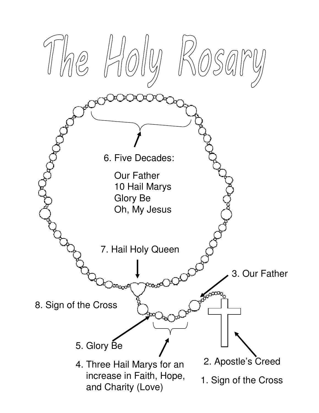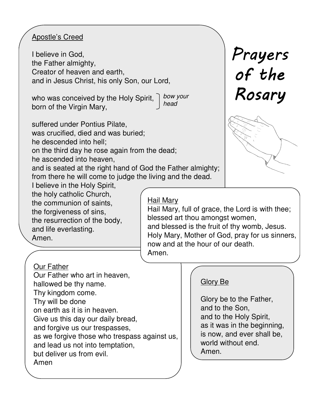# Apostle's Creed

I believe in God, the Father almighty, Creator of heaven and earth, and in Jesus Christ, his only Son, our Lord,

who was conceived by the Holy Spirit, born of the Virgin Mary, bow your head

suffered under Pontius Pilate,

was crucified, died and was buried;

he descended into hell;

on the third day he rose again from the dead;

he ascended into heaven,

and is seated at the right hand of God the Father almighty; from there he will come to judge the living and the dead.

I believe in the Holy Spirit, the holy catholic Church, the communion of saints, the forgiveness of sins, the resurrection of the body, and life everlasting. Amen.

Hail Mary

Hail Mary, full of grace, the Lord is with thee; blessed art thou amongst women, and blessed is the fruit of thy womb, Jesus. Holy Mary, Mother of God, pray for us sinners, now and at the hour of our death. Amen.

## Our Father

Our Father who art in heaven, hallowed be thy name. Thy kingdom come. Thy will be done on earth as it is in heaven. Give us this day our daily bread, and forgive us our trespasses, as we forgive those who trespass against us, and lead us not into temptation, but deliver us from evil. Amen

# Glory Be

Glory be to the Father, and to the Son, and to the Holy Spirit, as it was in the beginning, is now, and ever shall be, world without end. Amen.

Prayers of the Rosary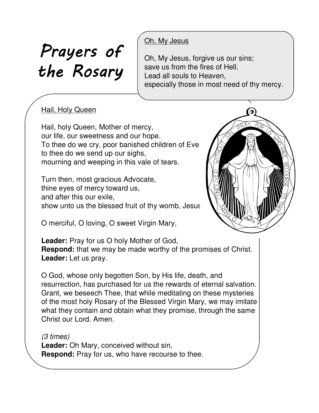# Prayers of the Rosary

# Oh, My Jesus

Oh, My Jesus, forgive us our sins; save us from the fires of Hell. Lead all souls to Heaven, especially those in most need of thy mercy.

# **Hail, Holy Queen**

Hail, holy Queen, Mother of mercy, our life, our sweetness and our hope. To thee do we cry, poor banished children of Eve: to thee do we send up our sighs, mourning and weeping in this vale of tears.

Turn then, most gracious Advocate, thine eyes of mercy toward us, and after this our exile, show unto us the blessed fruit of thy womb, Jesus

O merciful, O loving, O sweet Virgin Mary,



**Leader:** Pray for us O holy Mother of God, **Respond:** that we may be made worthy of the promises of Christ. **Leader:** Let us pray.

O God, whose only begotten Son, by His life, death, and resurrection, has purchased for us the rewards of eternal salvation. Grant, we beseech Thee, that while meditating on these mysteries of the most holy Rosary of the Blessed Virgin Mary, we may imitate what they contain and obtain what they promise, through the same Christ our Lord. Amen.

(3 times) **Leader:** Oh Mary, conceived without sin, **Respond:** Pray for us, who have recourse to thee.